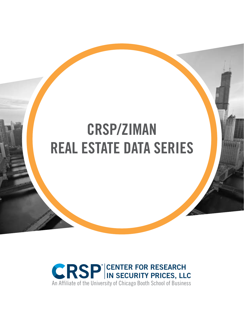# **CRSP/ZIMAN EXTRACTE DATA SERIES CRSP/ZIMAN REAL ESTATE DATA SERIES**

**GUIDE** 

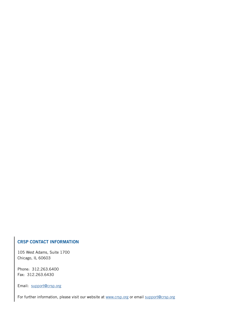#### **CRSP CONTACT INFORMATION**

105 West Adams, Suite 1700 Chicago, IL 60603

Phone: 312.263.6400 Fax: 312.263.6430

Email: [support@crsp.](mailto:support%40crsp.org?subject=)org

For further information, please visit our website at [www.crsp.org](http://www.crsp.org) or email [support@crsp.](mailto:support%40crsp.org?subject=)org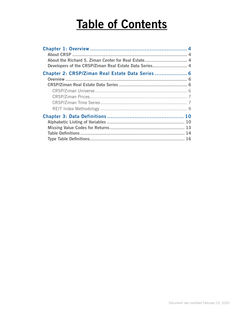# **Table of Contents**

| About the Richard S. Ziman Center for Real Estate 4<br>Developers of the CRSP/Ziman Real Estate Data Series 4 |  |
|---------------------------------------------------------------------------------------------------------------|--|
| Chapter 2: CRSP/Ziman Real Estate Data Series  6                                                              |  |
|                                                                                                               |  |
|                                                                                                               |  |
|                                                                                                               |  |
|                                                                                                               |  |
|                                                                                                               |  |
|                                                                                                               |  |
|                                                                                                               |  |
|                                                                                                               |  |
|                                                                                                               |  |
|                                                                                                               |  |
|                                                                                                               |  |
|                                                                                                               |  |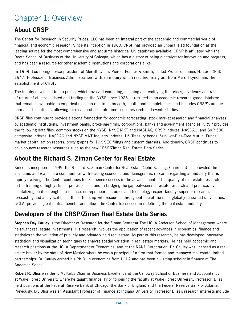# <span id="page-3-0"></span>Chapter 1: Overview

# **About CRSP**

The Center for Research in Security Prices, LLC has been an integral part of the academic and commercial world of financial and economic research. Since its inception in 1960, CRSP has provided an unparalleled foundation as the leading source for the most comprehensive and accurate historical US databases available. CRSP is affiliated with the Booth School of Business of the University of Chicago, which has a history of being a catalyst for innovation and progress, and has been a resource for other academic institutions and corporations alike.

In 1959, Louis Engel, vice president of Merrill Lynch, Pierce, Fenner & Smith, called Professor James H. Lorie (PhD 1947; Professor of Business Administration) with an inquiry which resulted in a grant from Merrill Lynch and the establishment of CRSP.

The inquiry developed into a project which involved compiling, cleaning and codifying the prices, dividends and rates of return of all stocks listed and trading on the NYSE since 1926. It resulted in an academic research grade database that remains invaluable to empirical research due to its breadth, depth, and completeness, and includes CRSP's unique permanent identifiers, allowing for clean and accurate time-series research and events studies.

CRSP files continue to provide a strong foundation for economic forecasting, stock market research and financial analyses by academic institutions, investment banks, brokerage firms, corporations, banks and government agencies. CRSP provides the following data files: common stocks on the NYSE, NYSE MKT and NASDAQ; CRSP Indexes; NASDAQ, and S&P 500 composite indexes; NASDAQ and NYSE MKT Industry Indexes; US Treasury bonds; Survivor-Bias-Free Mutual Funds; market capitalization reports; proxy graphs for 10K SEC filings and custom datasets. Additionally, CRSP continues to develop new research resources such as the new CRSP/Ziman Real Estate Data Series.

## **About the Richard S. Ziman Center for Real Estate**

Since its inception in 1999, the Richard S. Ziman Center for Real Estate (John S. Long, Chairman) has provided the academic and real estate communities with leading economic and demographic research regarding an industry that is rapidly evolving. The Center continues to experience success in the advancement of the quality of real estate research, in the training of highly skilled professionals, and in bridging the gap between real estate research and practice, by capitalizing on its strengths in finance, entrepreneurial studies and technology; expert faculty; superior research, forecasting and analytical tools. Its partnership with resources throughout one of the most globally renowned universities, UCLA, provides great mutual benefit, and allows the Center to succeed in redefining the real estate industry.

## **Developers of the CRSP/Ziman Real Estate Data Series**

**Stephen Day Cauley** is the Director of Research for the Ziman Center at The UCLA Anderson School of Management where he taught real estate investments. His research involves the application of recent advances in economics, finance and statistics to the valuation of publicly and privately held real estate. As part of this research, he has developed innovative statistical and visualization techniques to analyze spatial variation in real estate markets. He has held academic and research positions at the UCLA Department of Economics, and at the RAND Corporation. Dr. Cauley was licensed as a real estate broker by the state of New Mexico where he was a principal of a firm that formed and managed real estate limited partnerships. Dr. Cauley earned his Ph.D. in economics from UCLA and has been a visiting scholar in finance at The Anderson School.

**Robert R. Bliss** was the F. M. Kirby Chair in Business Excellence at the Calloway School of Business and Accountancy at Wake Forest University where he taught finance. Prior to joining the faculty at Wake Forest University Professor, Bliss held positions at the Federal Reserve Bank of Chicago, the Bank of England and the Federal Reserve Bank of Atlanta. Previously, Dr. Bliss was an Assistant Professor of Finance at Indiana University. Professor Bliss's research interests include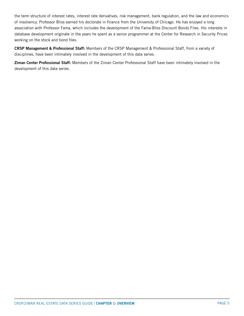the term structure of interest rates, interest rate derivatives, risk management, bank regulation, and the law and economics of insolvency. Professor Bliss earned his doctorate in finance from the University of Chicago. He has enjoyed a long association with Professor Fama, which includes the development of the Fama-Bliss Discount Bonds Files. His interests in database development originate in the years he spent as a senior programmer at the Center for Research in Security Prices working on the stock and bond files.

**CRSP Management & Professional Staff:** Members of the CRSP Management & Professional Staff, from a variety of disciplines, have been intimately involved in the development of this data series.

**Ziman Center Professional Staff:** Members of the Ziman Center Professional Staff have been intimately involved in the development of this data series.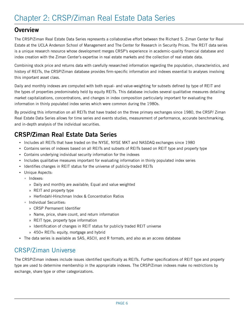## <span id="page-5-0"></span>**Overview**

The CRSP/Ziman Real Estate Data Series represents a collaborative effort between the Richard S. Ziman Center for Real Estate at the UCLA Anderson School of Management and The Center for Research in Security Prices. The REIT data series is a unique research resource whose development merges CRSP's experience in academic-quality financial database and index creation with the Ziman Center's expertise in real estate markets and the collection of real estate data.

Combining stock price and returns data with carefully researched information regarding the population, characteristics, and history of REITs, the CRSP/Ziman database provides firm-specific information and indexes essential to analyses involving this important asset class.

Daily and monthly indexes are computed with both equal- and value-weighting for subsets defined by type of REIT and the types of properties predominately held by equity REITs. This database includes several qualitative measures detailing market capitalizations, concentrations, and changes in index composition particularly important for evaluating the information in thinly populated index series which were common during the 1980s.

By providing this information on all REITs that have traded on the three primary exchanges since 1980, the CRSP/ Ziman Real Estate Data Series allows for time series and events studies, measurement of performance, accurate benchmarking, and in-depth analysis of the individual securities.

## **CRSP/Ziman Real Estate Data Series**

- Includes all REITs that have traded on the NYSE, NYSE MKT and NASDAQ exchanges since 1980
- Contains series of indexes based on all REITs and subsets of REITs based on REIT type and property type
- Contains underlying individual security information for the indexes
- Includes qualitative measures important for evaluating information in thinly populated index series
- Identifies changes in REIT status for the universe of publicly-traded REITs
- Unique Aspects:
	- Indexes:
		- » Daily and monthly are available; Equal and value weighted
		- » REIT and property type
		- » Herfindahl-Hirschman Index & Concentration Ratios
	- Individual Securities:
		- » CRSP Permanent Identifier
		- » Name, price, share count, and return information
		- » REIT type, property type information
		- » Identification of changes in REIT status for publicly traded REIT universe
		- » 450+ REITs: equity, mortgage and hybrid
- The data series is available as SAS, ASCII, and R formats, and also as an access database

## CRSP/Ziman Universe

The CRSP/Ziman indexes include issues identified specifically as REITs. Further specifications of REIT type and property type are used to determine membership in the appropriate indexes. The CRSP/Ziman indexes make no restrictions by exchange, share type or other categorizations.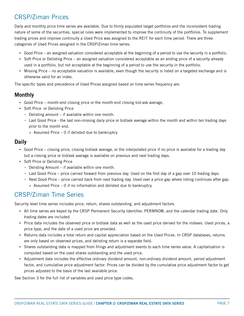# <span id="page-6-0"></span>CRSP/Ziman Prices

Daily and monthly price time series are available. Due to thinly populated target portfolios and the inconsistent trading nature of some of the securities, special rules were implemented to improve the continuity of the portfolios. To supplement trading prices and improve continuity a Used Price was assigned to the REIT for each time period. There are three categories of Used Prices assigned in the CRSP/Ziman time series:

- Good Price an assigned valuation considered acceptable at the beginning of a period to use the security in a portfolio.
- Soft Price or Delisting Price an assigned valuation considered acceptable as an ending price of a security already used in a portfolio, but not acceptable at the beginning of a period to use the security in the portfolio.
- Missing Price no acceptable valuation is available, even though the security is listed on a targeted exchange and is otherwise valid for an index.

The specific types and precedence of Used Prices assigned based on time series frequency are:

### **Monthly**

- Good Price month-end closing price or the month-end closing bid-ask average.
- Soft Price or Delisting Price
	- Delisting amount if available within one month.
	- Last Good Price the last non-missing daily price or bid/ask average within the month and within ten trading days prior to the month end.
		- » Assumed Price 0 if delisted due to bankruptcy

#### **Daily**

- Good Price closing price, closing bid/ask average, or the interpolated price if no price is available for a trading day but a closing price or bid/ask average is available on previous and next trading days.
- Soft Price or Delisting Price
	- Delisting Amount if available within one month.
	- Last Good Price price carried forward from previous day. Used on the first day of a gap over 10 trading days.
	- Next Good Price price carried back from next trading day. Used over a price gap where listing continues after gap.
		- » Assumed Price 0 if no information and delisted due to bankruptcy.

## CRSP/Ziman Time Series

Security level time series includes price, return, shares outstanding, and adjustment factors.

- All time series are keyed by the CRSP Permanent Security Identifier, PERMNO®, and the calendar trading date. Only trading dates are included.
- Price data includes the observed price or bid/ask data as well as the used price derived for the indexes. Used prices, a price type, and the date of a used price are provided.
- Returns data includes a total return and capital appreciation based on the Used Prices. In CRSP databases, returns are only based on observed prices, and delisting return is a separate field.
- Shares outstanding data is mapped from filings and adjustment events to each time series value. A capitalization is computed based on the used shares outstanding and the used price.
- Adjustment data includes the effective ordinary dividend amount, non-ordinary dividend amount, period adjustment factor, and cumulative price adjustment factor. Prices can be divided by the cumulative price adjustment factor to get prices adjusted to the basis of the last available price.

See Section 3 for the full list of variables and used price type codes.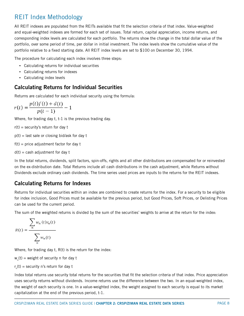## <span id="page-7-0"></span>REIT Index Methodology

All REIT indexes are populated from the REITs available that fit the selection criteria of that index. Value-weighted and equal-weighted indexes are formed for each set of issues. Total return, capital appreciation, income returns, and corresponding index levels are calculated for each portfolio. The returns show the change in the total dollar value of the portfolio, over some period of time, per dollar in initial investment. The index levels show the cumulative value of the portfolio relative to a fixed starting date. All REIT index levels are set to \$100 on December 30, 1994.

The procedure for calculating each index involves three steps:

- Calculating returns for individual securities
- Calculating returns for indexes
- Calculating index levels

### **Calculating Returns for Individual Securities**

Returns are calculated for each individual security using the formula:

$$
r(t) = \frac{p(t)f(t) + d(t)}{p(t-1)} - 1
$$

Where, for trading day t, t-1 is the previous trading day.

 $r(t)$  = security's return for day t

 $p(t)$  = last sale or closing bid/ask for day t

 $f(t)$  = price adjustment factor for day t

 $d(t) = \text{cash adjustment for day } t$ 

In the total returns, dividends, split factors, spin-offs, rights and all other distributions are compensated for or reinvested on the ex-distribution date. Total Returns include all cash distributions in the cash adjustment, while Returns without Dividends exclude ordinary cash dividends. The time series used prices are inputs to the returns for the REIT indexes.

## **Calculating Returns for Indexes**

Returns for individual securities within an index are combined to create returns for the index. For a security to be eligible for index inclusion, Good Prices must be available for the previous period, but Good Prices, Soft Prices, or Delisting Prices can be used for the current period.

The sum of the weighted returns is divided by the sum of the securities' weights to arrive at the return for the index:

$$
R(t) = \frac{\sum_{n} w_n(t) r_n(t)}{\sum_{n} w_n(t)}
$$

Where, for trading day t, R(t) is the return for the index:

 $w_{n}(t)$  = weight of security  $n$  for day  $t$ 

r n (t) = security n's return for day t

Index total returns use security total returns for the securities that fit the selection criteria of that index. Price appreciation uses security returns without dividends. Income returns use the difference between the two. In an equal-weighted index, the weight of each security is one. In a value-weighted index, the weight assigned to each security is equal to its market capitalization at the end of the previous period, t-1.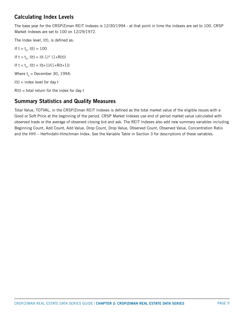## **Calculating Index Levels**

The base year for the CRSP/Ziman REIT Indexes is 12/30/1994 - at that point in time the indexes are set to 100. CRSP Market Indexes are set to 100 on 12/29/1972.

The Index level, l(t), is defined as:

If  $t = t_0$ ,  $I(t) = 100$ If  $t > t_0$ ,  $I(t) = I(t-1)^* (1+R(t))$ If  $t < t_0$ ,  $I(t) = I(t+1)/(1+R(t+1))$ Where  $t_0$  = December 30, 1994:  $I(t)$  = index level for day t  $R(t)$  = total return for the index for day t

## **Summary Statistics and Quality Measures**

Total Value, TOTVAL, in the CRSP/Ziman REIT Indexes is defined as the total market value of the eligible issues with a Good or Soft Price at the beginning of the period. CRSP Market Indexes use end of period market value calculated with observed trade or the average of observed closing bid and ask. The REIT Indexes also add new summary variables including Beginning Count, Add Count, Add Value, Drop Count, Drop Value, Observed Count, Observed Value, Concentration Ratio and the HHI – Herfindahl-Hirschman Index. See the Variable Table in Section 3 for descriptions of these variables.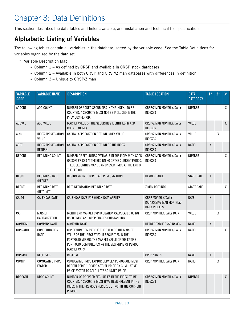# <span id="page-9-0"></span>Chapter 3: Data Definitions

This section describes the data tables and fields available, and installation and technical file specifications.

# **Alphabetic Listing of Variables**

The following tables contain all variables in the database, sorted by the variable code. See the Table Definitions for variables organized by the data set.

- \* Variable Description Map:
	- Column 1 As defined by CRSP and available in CRSP stock databases
	- Column 2 Available in both CRSP and CRSP/Ziman databases with differences in definition
	- Column 3 Unique to CRSP/Ziman

| <b>VARIABLE</b><br><b>CODE</b> | <b>VARIABLE NAME</b>                       | <b>DESCRIPTION</b>                                                                                                                                                                                                          | <b>TABLE LOCATION</b>                                                          | <b>DATA</b><br><b>CATEGORY</b> | $1*$         | $2^*$ | $3*$         |
|--------------------------------|--------------------------------------------|-----------------------------------------------------------------------------------------------------------------------------------------------------------------------------------------------------------------------------|--------------------------------------------------------------------------------|--------------------------------|--------------|-------|--------------|
| ADDCNT                         | ADD COUNT                                  | NUMBER OF ADDED SECURITIES IN THE INDEX. TO BE<br>COUNTED, A SECURITY MUST NOT BE INCLUDED IN THE<br>PREVIOUS PERIOD.                                                                                                       | CRSP/ZIMAN MONTHLY/DAILY<br><b>INDEXES</b>                                     | <b>NUMBER</b>                  |              |       | χ            |
| ADDVAL                         | ADD VALUE                                  | MARKET VALUE OF THE SECURITIES IDENTIFIED IN ADD<br>COUNT (ABOVE)                                                                                                                                                           | CRSP/ZIMAN MONTHLY/DAILY<br><b>INDEXES</b>                                     | VALUE                          |              |       | $\mathsf{X}$ |
| AIND                           | <b>INDEX APPRECIATION</b><br>VALUE         | CAPITAL APPRECIATION RETURN INDEX VALUE                                                                                                                                                                                     | CRSP/ZIMAN MONTHLY/DAILY<br><b>INDEXES</b>                                     | VALUE                          |              | χ     |              |
| <b>ARET</b>                    | <b>INDEX APPRECIATION</b><br><b>RETURN</b> | CAPITAL APPRECIATION RETURN OF THE INDEX                                                                                                                                                                                    | CRSP/ZIMAN MONTHLY/DAILY<br><b>INDEXES</b>                                     | RATIO                          | χ            |       |              |
| <b>BEGCNT</b>                  | <b>BEGINNING COUNT</b>                     | NUMBER OF SECURITIES AVAILABLE IN THE INDEX WITH GOOD<br>OR SOFT PRICES AT THE BEGINNING OF THE CURRENT PERIOD.<br>THESE SECURITIES MAY BE AN UNUSED PRICE AT THE END OF<br>THE PERIOD.                                     | CRSP/ZIMAN MONTHLY/DAILY<br><b>INDEXES</b>                                     | <b>NUMBER</b>                  |              |       | χ            |
| <b>BEGDT</b>                   | <b>BEGINNING DATE</b><br>(HEADER)          | BEGINNING DATE FOR HEADER INFORMATION                                                                                                                                                                                       | <b>HEADER TABLE</b>                                                            | <b>START DATE</b>              | X            |       |              |
| <b>BEGDT</b>                   | <b>BEGINNING DATE</b><br>(REIT INFO)       | <b>REIT INFORMATION BEGINNING DATE</b>                                                                                                                                                                                      | ZIMAN REIT INFO                                                                | <b>START DATE</b>              |              |       | χ            |
| CALDT                          | <b>CALENDAR DATE</b>                       | CALENDAR DATE FOR WHICH DATA APPLIES                                                                                                                                                                                        | <b>CRSP MONTHLY/DAILY</b><br>DATA, CRSP/ZIMAN MONTHLY/<br><b>DAILY INDEXES</b> | <b>DATE</b>                    | χ            |       |              |
| CAP                            | <b>MARKET</b><br>CAPITALIZATION            | MONTH END MARKET CAPITALIZATION CALCULATED USING<br>USED PRICE AND CRSP SHARES OUTSTANDING                                                                                                                                  | CRSP MONTHLY/DAILY DATA                                                        | VALUE                          |              | χ     |              |
| COMNAM                         | <b>COMPANY NAME</b>                        | <b>COMPANY NAME</b>                                                                                                                                                                                                         | HEADER TABLE, CRSP NAMES                                                       | <b>NAME</b>                    | $\mathsf{X}$ |       |              |
| <b>CONRATIO</b>                | CONCENTRATION<br><b>RATIO</b>              | CONCENTRATION RATIO IS THE RATIO OF THE MARKET<br>VALUE OF THE LARGEST FOUR SECURITIES IN THE<br>PORTFOLIO VERSUS THE MARKET VALUE OF THE ENTIRE<br>PORTFOLIO COMPUTED USING THE BEGINNING OF PERIOD<br><b>MARKET CAPS.</b> | CRSP/ZIMAN MONTHLY/DAILY<br><b>INDEXES</b>                                     | <b>RATIO</b>                   |              |       | X            |
| CONVCD                         | <b>RESERVED</b>                            | <b>RESERVED</b>                                                                                                                                                                                                             | <b>CRSP NAMES</b>                                                              | <b>NAME</b>                    | χ            |       |              |
| <b>CUMFP</b>                   | <b>CUMULATIVE PRICE</b><br><b>FACTOR</b>   | CUMULATIVE PRICE FACTOR BETWEEN PERIOD AND MOST<br>RECENT PERIOD. DIVIDE ACTUAL PRICE BY CUMULATIVE<br>PRICE FACTOR TO CALCULATE ADJUSTED PRICE.                                                                            | <b>CRSP MONTHLY/DAILY DATA</b>                                                 | RATIO                          |              | χ     |              |
| <b>DROPCNT</b>                 | DROP COUNT                                 | NUMBER OF DROPPED SECURITIES IN THE INDEX. TO BE<br>COUNTED, A SECURITY MUST HAVE BEEN PRESENT IN THE<br>INDEX IN THE PREVIOUS PERIOD, BUT NOT IN THE CURRENT<br>PERIOD.                                                    | CRSP/ZIMAN MONTHLY/DAILY<br><b>INDEXES</b>                                     | <b>NUMBER</b>                  |              |       | $\mathsf{X}$ |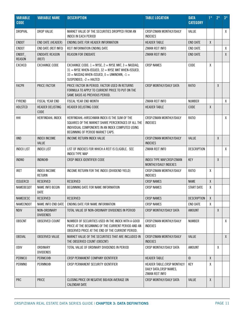| <b>VARIABLE</b><br><b>CODE</b> | <b>VARIABLE NAME</b>                 | <b>DESCRIPTION</b>                                                                                                                                                                                | <b>TABLE LOCATION</b>                                                     | <b>DATA</b><br><b>CATEGORY</b> | $1^*$        | $2*$ | $3^*$          |
|--------------------------------|--------------------------------------|---------------------------------------------------------------------------------------------------------------------------------------------------------------------------------------------------|---------------------------------------------------------------------------|--------------------------------|--------------|------|----------------|
| DROPVAL                        | <b>DROP VALUE</b>                    | MARKET VALUE OF THE SECURITIES DROPPED FROM AN<br><b>INDEX IN EACH PERIOD</b>                                                                                                                     | CRSP/ZIMAN MONTHLY/DAILY<br><b>INDEXES</b>                                | VALUE                          |              |      | $\mathsf{X}^-$ |
| <b>ENDDT</b>                   | END DATE (HEADER)                    | ENDING DATE FOR HEADER INFORMATION                                                                                                                                                                | <b>HEADER TABLE</b>                                                       | <b>END DATE</b>                | $\pmb{\chi}$ |      |                |
| <b>ENDDT</b>                   | END DATE (REIT INFO)                 | <b>REIT INFORMATION ENDING DATE</b>                                                                                                                                                               | ZIMAN REIT INFO                                                           | <b>END DATE</b>                |              |      | X              |
| ENDDT_<br><b>REASON</b>        | <b>ENDDATE REASON</b><br>(REIT)      | <b>REASON FOR ENDDATE</b>                                                                                                                                                                         | ZIMAN REIT INFO                                                           | <b>END DATE</b>                |              |      | X              |
| <b>EXCHCD</b>                  | <b>EXCHANGE CODE</b>                 | EXCHANGE CODE: $1 = NYSE$ , $2 = NYSE$ MKT, $3 = NASDAQ$ ,<br>$31 =$ NYSE WHEN-ISSUED, $32 =$ NYSE MKT WHEN-ISSUED,<br>33 = NASDAQ WHEN-ISSUED, $0 =$ UNKNOWN, $-1 =$<br>SUSPENDED, $-2$ = HALTED | <b>CRSP NAMES</b>                                                         | CODE                           | χ            |      |                |
| <b>FACPR</b>                   | PRICE FACTOR                         | PRICE FACTOR IN PERIOD. FACTOR USED IN RETURNS<br>CRSP MONTHLY/DAILY DATA<br>FORMULA TO APPLY TO CURRENT PRICE TO PUT ON THE<br>SAME BASIS AS PREVIOUS PERIOD.                                    |                                                                           | RATIO                          |              | X    |                |
| <b>FYREND</b>                  | <b>FISCAL YEAR END</b>               | FISCAL YEAR END MONTH                                                                                                                                                                             | ZIMAN REIT INFO                                                           | <b>NUMBER</b>                  |              |      | X              |
| <b>HDLSTCD</b>                 | HEADER DELISTING<br>CODE             | HEADER DELISTING CODE                                                                                                                                                                             | <b>HEADER TABLE</b>                                                       | CODE                           | $\pmb{\chi}$ |      |                |
| HHI                            | <b>HERFINDAHL INDEX</b>              | HERFINDAHL-HIRSCHMAN INDEX IS THE SUM OF THE<br>SQUARES OF THE MARKET SHARE PERCENTAGES OF ALL THE<br>INDIVIDUAL COMPONENTS IN AN INDEX COMPUTED USING<br>BEGINNING OF PERIOD MARKET CAPS.        | CRSP/ZIMAN MONTHLY/DAILY<br><b>INDEXES</b>                                | RATIO                          |              |      | X              |
| <b>IIND</b>                    | <b>INDEX INCOME</b><br>VALUE         | INCOME RETURN INDEX VALUE                                                                                                                                                                         | CRSP/ZIMAN MONTHLY/DAILY<br><b>INDEXES</b>                                | VALUE                          |              | X    |                |
| <b>INDEX LIST</b>              | <b>INDEX LIST</b>                    | LIST OF INDEXES FOR WHICH A REIT IS ELIGIBLE. SEE<br><b>INDEX TYPE MAP</b>                                                                                                                        | ZIMAN REIT INFO                                                           | <b>DESCRIPTION</b>             |              |      | X              |
| <b>INDNO</b>                   | <b>INDNO®</b>                        | KEY<br>CRSP INDEX IDENTIFIER CODE<br>INDEX TYPE MAP, CRSP/ZIMAN<br>MONTHLY/DAILY INDEXES                                                                                                          |                                                                           |                                |              | X    |                |
| <b>IRET</b>                    | <b>INDEX INCOME</b><br><b>RETURN</b> | INCOME RETURN FOR THE INDEX (DIVIDEND YIELD)                                                                                                                                                      | CRSP/ZIMAN MONTHLY/DAILY<br><b>INDEXES</b>                                | RATIO                          | χ            |      |                |
| <b>ISSUERCD</b>                | <b>RESERVED</b>                      | <b>RESERVED</b>                                                                                                                                                                                   | <b>CRSP NAMES</b>                                                         | <b>NAME</b>                    | $\pmb{\chi}$ |      |                |
| NAMEBEGDT                      | <b>NAME INFO BEGIN</b><br>DATE       | BEGINNING DATE FOR NAME INFORMATION                                                                                                                                                               | <b>CRSP NAMES</b>                                                         | <b>START DATE</b>              | χ            |      |                |
| NAMEDESC                       | <b>RESERVED</b>                      | <b>RESERVED</b>                                                                                                                                                                                   | <b>CRSP NAMES</b>                                                         | <b>DESCRIPTION</b>             | $\chi$       |      |                |
| NAMEENDDT                      | NAME INFO END DATE                   | ENDING DATE FOR NAME INFORMATION                                                                                                                                                                  | <b>CRSP NAMES</b>                                                         | <b>END DATE</b>                | X            |      |                |
| <b>NDIV</b>                    | NON-ORDINARY<br><b>DIVIDENDS</b>     | TOTAL VALUE OF NON-ORDINARY DIVIDENDS IN PERIOD                                                                                                                                                   | CRSP MONTHLY/DAILY DATA                                                   | <b>AMOUNT</b>                  |              | X    |                |
| <b>OBSCNT</b>                  | <b>OBSERVED COUNT</b>                | NUMBER OF SECURITIES USED IN THE INDEX WITH A GOOD<br>PRICE AT THE BEGINNING OF THE CURRENT PERIOD AND AN<br>OBSERVED PRICE AT THE END OF THE CURRENT PERIOD.                                     | CRSP/ZIMAN MONTHLY/DAILY<br><b>INDEXES</b>                                | <b>NUMBER</b>                  |              |      | X.             |
| <b>OBSVAL</b>                  | <b>OBSERVED VALUE</b>                | MARKET VALUE OF THE SECURITIES THAT ARE INCLUDED IN<br>THE OBSERVED COUNT (OBSCNT)                                                                                                                | CRSP/ZIMAN MONTHLY/DAILY<br><b>INDEXES</b>                                | VALUE                          |              |      | $\mathsf{X}$   |
| <b>ODIV</b>                    | ORDINARY<br><b>DIVIDENDS</b>         | TOTAL VALUE OF ORDINARY DIVIDENDS IN PERIOD                                                                                                                                                       | <b>CRSP MONTHLY/DAILY DATA</b>                                            | <b>AMOUNT</b>                  |              | Χ    |                |
| <b>PERMCO</b>                  | PERMC0 <sup>®</sup>                  | CRSP PERMANENT COMPANY IDENTIFIER                                                                                                                                                                 | <b>HEADER TABLE</b>                                                       | ID                             | $\pmb{\chi}$ |      |                |
| <b>PERMNO</b>                  | PERMN0 <sup>®</sup>                  | CRSP PERMANENT SECURITY IDENTIFIER                                                                                                                                                                | HEADER TABLE, CRSP MONTHLY/<br>DAILY DATA, CRSP NAMES,<br>ZIMAN REIT INFO | KEY                            | χ            |      |                |
| PRC                            | <b>PRICE</b>                         | CLOSING PRICE OR NEGATIVE BID/ASK AVERAGE ON<br><b>CALENDAR DATE</b>                                                                                                                              | CRSP MONTHLY/DAILY DATA                                                   | VALUE                          | $\pmb{\chi}$ |      |                |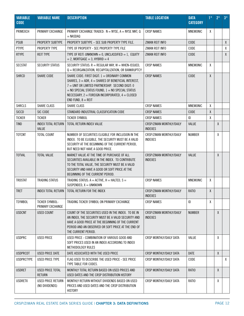| <b>VARIABLE</b><br><b>CODE</b> | <b>VARIABLE NAME</b>                       | <b>DESCRIPTION</b>                                                                                                                                                                                                                                                                                      | <b>TABLE LOCATION</b>                      | <b>DATA</b><br><b>CATEGORY</b> | $1^*$        | $2^*$ | $3^*$        |
|--------------------------------|--------------------------------------------|---------------------------------------------------------------------------------------------------------------------------------------------------------------------------------------------------------------------------------------------------------------------------------------------------------|--------------------------------------------|--------------------------------|--------------|-------|--------------|
| PRIMEXCH                       | PRIMARY EXCHANGE                           | PRIMARY EXCHANGE TRADED: $N = NYSE$ , $A = NYSE$ MKT, Q<br>$=$ NASDAQ                                                                                                                                                                                                                                   | <b>CRSP NAMES</b>                          | <b>MNEMONIC</b>                | χ            |       |              |
| <b>PSUB</b>                    | PROPERTY SUBTYPE                           | PROPERTY SUBTYPE - SEE SUB PROPERTY TYPE FILE.                                                                                                                                                                                                                                                          | ZIMAN REIT INFO                            | CODE                           |              |       | $\mathsf{X}$ |
| <b>PTYPE</b>                   | PROPERTY TYPE                              | TYPE OF PROPERTY - SEE PROPERTY TYPE FILE                                                                                                                                                                                                                                                               | ZIMAN REIT INFO                            | CODE                           |              |       | $\pmb{\chi}$ |
| <b>RTYPE</b>                   | <b>REIT TYPE</b>                           | TYPE OF REIT: UNKNOWN = 0, UNCLASSIFIED = 1, EQUITY<br>$= 2$ , MORTGAGE $= 3$ , HYBRID $= 4$                                                                                                                                                                                                            | ZIMAN REIT INFO                            | CODE                           |              |       | X            |
| <b>SECSTAT</b>                 | <b>SECURITY STATUS</b>                     | SECURITY STATUS: $R = REGULAR$ WAY, $W = WHER-ISSUED$ ,<br>$Q = REORGANIZATION$ , RECAPITALIZATION, OR BANKRUPTCY                                                                                                                                                                                       | <b>CRSP NAMES</b>                          | MNEMONIC                       | χ            |       |              |
| <b>SHRCD</b>                   | <b>SHARE CODE</b>                          | SHARE CODE: FIRST DIGIT: $1 = 0R$ DINARY COMMON<br>SHARES, $3 =$ ADR, $4 =$ SHARES OF BENEFICIAL INTEREST,<br>7 = UNIT OR LIMITED PARTNERSHIP. SECOND DIGIT: 0<br>$=$ NO SPECIAL STATUS FOUND, $1 =$ NO SPECIAL STATUS<br>NECESSARY, $2 =$ FOREIGN INCORPORATED, $4 =$ CLOSED<br>$END$ FUND, $8 = REIT$ | <b>CRSP NAMES</b>                          | CODE                           | $\pmb{\chi}$ |       |              |
| <b>SHRCLS</b>                  | SHARE CLASS                                | SHARE CLASS                                                                                                                                                                                                                                                                                             | <b>CRSP NAMES</b>                          | <b>MNEMONIC</b>                | χ            |       |              |
| <b>SICCD</b>                   | SIC CODE                                   | STANDARD INDUSTRIAL CLASSIFICATION CODE                                                                                                                                                                                                                                                                 | <b>CRSP NAMES</b>                          | CODE                           | χ            |       |              |
| <b>TICKER</b>                  | <b>TICKER</b>                              | <b>TICKER SYMBOL</b>                                                                                                                                                                                                                                                                                    | <b>CRSP NAMES</b>                          | ID                             | χ            |       |              |
| <b>TIND</b>                    | <b>INDEX TOTAL RETURN</b><br>VALUE         | TOTAL RETURN INDEX VALUE                                                                                                                                                                                                                                                                                | CRSP/ZIMAN MONTHLY/DAILY<br><b>INDEXES</b> | VALUE                          |              | X     |              |
| <b>TOTCNT</b>                  | <b>TOTAL COUNT</b>                         | NUMBER OF SECURITIES ELIGIBLE FOR INCLUSION IN THE<br>INDEX. TO BE ELIGIBLE, THE SECURITY MUST BE A VALID<br>SECURITY AT THE BEGINNING OF THE CURRENT PERIOD,<br>BUT NEED NOT HAVE A GOOD PRICE.                                                                                                        | CRSP/ZIMAN MONTHLY/DAILY<br><b>INDEXES</b> | <b>NUMBER</b>                  |              | X     |              |
| <b>TOTVAL</b>                  | <b>TOTAL VALUE</b>                         | MARKET VALUE AT THE TIME OF PURCHASE OF ALL<br>SECURITIES AVAILABLE IN THE INDEX. TO CONTRIBUTE<br>TO THE TOTAL VALUE, THE SECURITY MUST BE A VALID<br>SECURITY AND HAVE A GOOD OR SOFT PRICE AT THE<br>BEGINNING OF THE CURRENT PERIOD.                                                                | CRSP/ZIMAN MONTHLY/DAILY<br><b>INDEXES</b> | VALUE                          |              | X     |              |
| <b>TRDSTAT</b>                 | <b>TRADING STATUS</b>                      | TRADING STATUS: $A = ACTIVE$ , $H = HALTED$ , $S =$<br>SUSPENDED, $X = UNKNOWN$                                                                                                                                                                                                                         | <b>CRSP NAMES</b>                          | <b>MNEMONIC</b>                | χ            |       |              |
| <b>TRET</b>                    | INDEX TOTAL RETURN                         | TOTAL RETURN FOR THE INDEX                                                                                                                                                                                                                                                                              | CRSP/ZIMAN MONTHLY/DAILY<br><b>INDEXES</b> | RATIO                          | χ            |       |              |
| <b>TSYMBOL</b>                 | <b>TICKER SYMBOL-</b><br>PRIMARY EXCHANGE  | TRADING TICKER SYMBOL ON PRIMARY EXCHANGE                                                                                                                                                                                                                                                               | <b>CRSP NAMES</b>                          | ID                             | χ            |       |              |
| <b>USDCNT</b>                  | <b>USED COUNT</b>                          | COUNT OF THE SECURITIES USED IN THE INDEX. TO BE IN<br>AN INDEX, THE SECURITY MUST BE A VALID SECURITY AND<br>HAVE A GOOD PRICE AT THE BEGINNING OF THE CURRENT<br>PERIOD AND AN OBSERVED OR SOFT PRICE AT THE END OF<br>THE CURRENT PERIOD.                                                            | CRSP/ZIMAN MONTHLY/DAILY<br><b>INDEXES</b> | <b>NUMBER</b>                  |              | X     |              |
| <b>USDPRC</b>                  | <b>USED PRICE</b>                          | USED PRICE - COMBINATION OF VARIOUS GOOD AND<br>SOFT PRICES USED IN AN INDEX ACCORDING TO INDEX<br>METHODOLOGY RULES                                                                                                                                                                                    | CRSP MONTHLY/DAILY DATA                    | <b>VALUE</b>                   |              | X     |              |
| <b>USDPRCDT</b>                | <b>USED PRICE DATE</b>                     | DATE ASSOCIATED WITH THE USED PRICE                                                                                                                                                                                                                                                                     | CRSP MONTHLY/DAILY DATA                    | DATE                           |              | X     |              |
| <b>USDPRCTYPE</b>              | <b>USED PRICE TYPE</b>                     | FLAG USED TO DESCRIBE THE USED PRICE - SEE PRICE<br>TYPE TABLE FOR CODES.                                                                                                                                                                                                                               | CRSP MONTHLY/DAILY DATA                    | CODE                           |              |       | X            |
| <b>USDRET</b>                  | <b>USED PRICE TOTAL</b><br><b>RETURN</b>   | MONTHLY TOTAL RETURN BASED ON USED PRICES AND<br>USED DATES AND THE CRSP DISTRIBUTION HISTORY                                                                                                                                                                                                           | CRSP MONTHLY/DAILY DATA                    | RATIO                          |              | X     |              |
| <b>USDRETX</b>                 | <b>USED PRICE RETURN</b><br>(NO DIVIDENDS) | MONTHLY RETURN WITHOUT DIVIDENDS BASED ON USED<br>PRICES AND USED DATES AND THE CRSP DISTRIBUTION<br><b>HISTORY</b>                                                                                                                                                                                     | CRSP MONTHLY/DAILY DATA                    | <b>RATIO</b>                   |              | χ     |              |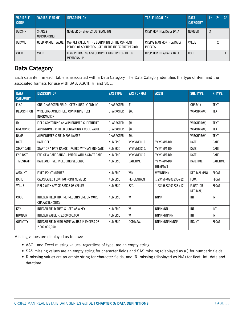<span id="page-12-0"></span>

| <b>VARIABLE</b><br><b>CODE</b> | <b>VARIABLE NAME</b>         | <b>DESCRIPTION</b>                                                                                  | <b>TABLE LOCATION</b>               | <b>DATA</b><br><b>CATEGORY</b> | $1*$ | $2*$ | $3*$ |
|--------------------------------|------------------------------|-----------------------------------------------------------------------------------------------------|-------------------------------------|--------------------------------|------|------|------|
| <b>USDSHR</b>                  | <b>SHARES</b><br>OUTSTANDING | NUMBER OF SHARES OUTSTANDING                                                                        | CRSP MONTHLY/DAILY DATA             | <b>NUMBER</b>                  | Y    |      |      |
| <b>USDVAL</b>                  | USED MARKET VALUE            | MARKET VALUE AT THE BEGINNING OF THE CURRENT<br>PERIOD OF SECURITIES USED IN THE INDEX THAT PERIOD. | CRSP/ZIMAN MONTHLY/DAILY<br>INDEXES | VALUE                          |      |      |      |
| <b>VALID</b>                   | <b>VALID</b>                 | FLAG INDICATING A SECURITY ELIGIBILITY FOR INDEX<br><b>MEMBERSHIP</b>                               | CRSP MONTHLY/DAILY DATA             | CODE                           |      |      | Λ    |

## **Data Category**

Each data item in each table is associated with a Data Category. The Data Category identifies the type of item and the associated formats for use with SAS, ASCII, R, and SQL.

| <b>DATA</b><br><b>CATEGORY</b> | <b>DESCRIPTION</b>                                                  | <b>SAS TYPE</b>  | <b>SAS FORMAT</b> | <b>ASCII</b>           | <b>SQL TYPE</b>       | <b>R TYPE</b>   |
|--------------------------------|---------------------------------------------------------------------|------------------|-------------------|------------------------|-----------------------|-----------------|
| <b>FLAG</b>                    | ONE-CHARACTER FIELD - OFTEN JUST 'Y' AND 'N'                        | CHARACTER        | \$1.              |                        | CHAR(1)               | <b>TEXT</b>     |
| <b>DESCRIPTION</b>             | WIDE CHARACTER FIELD CONTAINING TEXT<br><b>INFORMATION</b>          | <b>CHARACTER</b> | \$W.              |                        | VARCHAR(W)            | <b>TEXT</b>     |
| ID                             | FIELD CONTAINING AN ALPHANUMERIC IDENTIFIER                         | CHARACTER        | \$W.              |                        | VARCHAR(W)            | <b>TEXT</b>     |
| <b>MNEMONIC</b>                | ALPHANUMERIC FIELD CONTAINING A CODE VALUE                          | CHARACTER        | \$W.              |                        | VARCHAR(W)            | <b>TEXT</b>     |
| <b>NAME</b>                    | ALPHANUMERIC FIELD FOR NAMES                                        | <b>CHARACTER</b> | \$W.              |                        | VARCHAR(W)            | <b>TEXT</b>     |
| DATE                           | DATE FIELD                                                          | <b>NUMERIC</b>   | YYYYMMDD10.       | YYYY-MM-DD             | DATE                  | DATE            |
| <b>START DATE</b>              | START OF A DATE RANGE - PAIRED WITH AN END DATE                     | <b>NUMERIC</b>   | YYYYMMDD10.       | YYYY-MM-DD             | <b>DATE</b>           | <b>DATE</b>     |
| <b>END DATE</b>                | END OF A DATE RANGE - PAIRED WITH A START DATE                      | <b>NUMERIC</b>   | YYYYMMDD10.       | YYYY-MM-DD             | <b>DATE</b>           | <b>DATE</b>     |
| <b>TIMESTAMP</b>               | DATE AND TIME, INCLUDING SECONDS                                    | <b>NUMERIC</b>   | DATETIME          | YYYY-MM-DD<br>HH:MM:SS | <b>DATETIME</b>       | <b>DATETIME</b> |
| <b>AMOUNT</b>                  | <b>FIXED POINT NUMBER</b>                                           | <b>NUMERIC</b>   | W.N               | WW.NNNNN               | DECIMAL (P,N)         | <b>FLOAT</b>    |
| <b>RATIO</b>                   | CALCULATED FLOATING POINT NUMBER                                    | <b>NUMERIC</b>   | PERCENTW.N        | 1.234567890123E+12     | <b>FLOAT</b>          | <b>FLOAT</b>    |
| VALUE                          | FIELD WITH A WIDE RANGE OF VALUES                                   | <b>NUMERIC</b>   | E20.              | 1.234567890123E+12     | FLOAT (OR<br>DECIMAL) | <b>FLOAT</b>    |
| CODE                           | INTEGER FIELD THAT REPRESENTS ONE OR MORE<br><b>CHARACTERISTICS</b> | <b>NUMERIC</b>   | W.                | <b>NNNN</b>            | INT                   | <b>INT</b>      |
| KEY                            | INTEGER FIELD THAT IS USED AS A KEY                                 | <b>NUMERIC</b>   | W.                | <b>NNNNNNN</b>         | <b>INT</b>            | <b>INT</b>      |
| <b>NUMBER</b>                  | INTEGER VALUE < 2,000,000,000                                       | <b>NUMERIC</b>   | W.                | <b>NNNNNNNNNN</b>      | INT                   | <b>INT</b>      |
| QUANTITY                       | INTEGER FIELD WITH SOME VALUES IN EXCESS OF<br>2.000.000.000        | <b>NUMERIC</b>   | COMMAW.           | <b>NNNNNNNNNNNNN</b>   | <b>BIGINT</b>         | <b>FLOAT</b>    |

Missing values are displayed as follows:

- ASCII and Excel missing values, regardless of type, are an empty string
- SAS missing values are an empty string for character fields and SAS missing (displayed as a.) for numberic fields
- R missing values are an empty string for character fields, and 'R' missing (displayed as N/A) for float, int, date and datatime.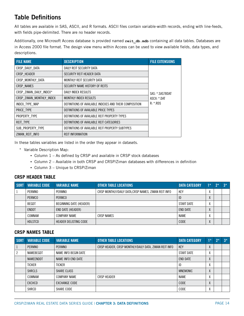# <span id="page-13-0"></span>**Table Definitions**

All tables are available in SAS, ASCII, and R formats. ASCII files contain variable-width records, ending with line-feeds, with fields pipe-delimited. There are no header records.

Additionally, one Microsoft Access database is provided named **reit\_db.mdb** containing all data tables. Databases are in Access 2000 file format. The design view menu within Access can be used to view available fields, data types, and descriptions.

| <b>FILE NAME</b>         | <b>DESCRIPTION</b>                                     | <b>FILE EXTENSIONS</b> |
|--------------------------|--------------------------------------------------------|------------------------|
| CRSP DAILY DATA          | DAILY REIT SECURITY DATA                               |                        |
| CRSP HEADER              | SECURITY REIT HEADER DATA                              |                        |
| CRSP MONTHLY DATA        | MONTHLY REIT SECURITY DATA                             |                        |
| CRSP NAMES               | SECURITY NAME HISTORY OF REITS                         |                        |
| CRSP ZIMAN DAILY INDEX*  | DAILY INDEX RESULTS                                    | SAS: *.SAS7BDAT        |
| CRSP ZIMAN MONTHLY INDEX | <b>MONTHLY INDEX RESULTS</b>                           | ASCII: *.DAT           |
| INDEX TYPE MAP           | DEFINITIONS OF AVAILABLE INDEXES AND THEIR COMPOSITION | $R:$ *.RDS             |
| PRICE TYPE               | DEFINITIONS OF AVAILABLE PRICE TYPES                   |                        |
| PROPERTY_TYPE            | DEFINITIONS OF AVAILABLE REIT PROPERTY TYPES           |                        |
| REIT_TYPE                | DEFINITIONS OF AVAILABLE REIT CATEGORIES               |                        |
| SUB PROPERTY TYPE        | DEFINITIONS OF AVAILABLE REIT PROPERTY SUBTYPES        |                        |
| ZIMAN REIT INFO          | <b>REIT INFORMATION</b>                                |                        |

In these tables variables are listed in the order they appear in datasets.

- \* Variable Description Map:
	- Column 1 As defined by CRSP and available in CRSP stock databases
	- Column 2 Available in both CRSP and CRSP/Ziman databases with differences in definition
	- Column 3 Unique to CRSP/Ziman

#### **CRSP HEADER TABLE**

| <b>SORT</b> | <b>VARIABLE CODE</b> | <b>VARIABLE NAME</b>         | <b>OTHER TABLE LOCATIONS</b>                         | <b>DATA CATEGORY</b> | $1*$ | $2*$ | $3*$ |
|-------------|----------------------|------------------------------|------------------------------------------------------|----------------------|------|------|------|
|             | PERMNO               | <b>PERMNO</b>                | CRSP MONTHLY/DAILY DATA, CRSP NAMES, ZIMAN REIT INFO | KEY                  |      |      |      |
|             | <b>PERMCO</b>        | <b>PERMCO</b>                |                                                      | ID                   |      |      |      |
|             | <b>BEGDT</b>         | BEGINNING DATE (HEADER)      |                                                      | START DATE           |      |      |      |
|             | <b>ENDDT</b>         | END DATE (HEADER)            |                                                      | <b>END DATE</b>      |      |      |      |
|             | COMNAM               | <b>COMPANY NAME</b>          | <b>CRSP NAMES</b>                                    | <b>NAME</b>          |      |      |      |
|             | <b>HDLSTCD</b>       | <b>HEADER DELISTING CODE</b> |                                                      | CODE                 |      |      |      |

#### **CRSP NAMES TABLE**

| SORT | <b>VARIABLE CODE</b> | <b>VARIABLE NAME</b> | <b>OTHER TABLE LOCATIONS</b>                          | <b>DATA CATEGORY</b> | $1*$                     | $2*$ | $3*$ |
|------|----------------------|----------------------|-------------------------------------------------------|----------------------|--------------------------|------|------|
|      | <b>PERMNO</b>        | <b>PERMNO</b>        | CRSP HEADER, CRSP MONTHLY/DAILY DATA, ZIMAN REIT INFO | KEY                  | ∧                        |      |      |
|      | NAMEBEGDT            | NAME INFO BEGIN DATE |                                                       | START DATE           | Λ                        |      |      |
|      | NAMEENDDT            | NAME INFO END DATE   |                                                       | END DATE             | Λ                        |      |      |
|      | TICKER               | TICKER               |                                                       | ID                   | Λ                        |      |      |
|      | <b>SHRCLS</b>        | SHARE CLASS          |                                                       | MNEMONIC             | $\Lambda$                |      |      |
|      | COMNAM               | <b>COMPANY NAME</b>  | <b>CRSP HEADER</b>                                    | <b>NAME</b>          | χ                        |      |      |
|      | <b>EXCHCD</b>        | <b>EXCHANGE CODE</b> |                                                       | CODE                 | $\mathbf v$<br>$\Lambda$ |      |      |
|      | SHRCD                | SHARE CODE           |                                                       | <b>CODE</b>          | $\mathbf v$<br>Λ         |      |      |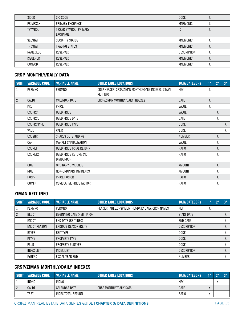| <b>SICCD</b>    | SIC CODE                                  | CODE               | $\mathbf{v}$ |  |
|-----------------|-------------------------------------------|--------------------|--------------|--|
| PRIMEXCH        | PRIMARY EXCHANGE                          | <b>MNEMONIC</b>    | Λ            |  |
| <b>TSYMBOL</b>  | TICKER SYMBOL- PRIMARY<br><b>EXCHANGE</b> | ID                 | Λ            |  |
| <b>SECSTAT</b>  | SECURITY STATUS                           | <b>MNEMONIC</b>    | $\mathbf{v}$ |  |
| <b>TRDSTAT</b>  | <b>TRADING STATUS</b>                     | <b>MNEMONIC</b>    | Λ            |  |
| NAMEDESC        | RESERVED                                  | <b>DESCRIPTION</b> | Λ            |  |
| <b>ISSUERCD</b> | RESERVED                                  | <b>MNEMONIC</b>    | Λ            |  |
| CONVCD          | RESERVED                                  | <b>MNEMONIC</b>    | Λ            |  |

### **CRSP MONTHLY/DAILY DATA**

| <b>SORT</b>    | <b>VARIABLE CODE</b> | <b>VARIABLE NAME</b>                | <b>OTHER TABLE LOCATIONS</b>                                             | <b>DATA CATEGORY</b> | $1^*$ | $2^*$ | $3^*$ |
|----------------|----------------------|-------------------------------------|--------------------------------------------------------------------------|----------------------|-------|-------|-------|
| 1              | PERMNO               | <b>PERMNO</b>                       | CRSP HEADER, CRSP/ZIMAN MONTHLY/DAILY INDEXES, ZIMAN<br><b>REIT INFO</b> | KEY                  | χ     |       |       |
| $\overline{2}$ | <b>CALDT</b>         | <b>CALENDAR DATE</b>                | CRSP/ZIMAN MONTHLY/DAILY INDEXES                                         | <b>DATE</b>          | X     |       |       |
|                | <b>PRC</b>           | <b>PRICE</b>                        |                                                                          | VALUE                | X     |       |       |
|                | <b>USDPRC</b>        | <b>USED PRICE</b>                   |                                                                          | <b>VALUE</b>         |       | X     |       |
|                | <b>USDPRCDT</b>      | USED PRICE DATE                     |                                                                          | <b>DATE</b>          |       | χ     |       |
|                | <b>USDPRCTYPE</b>    | USED PRICE TYPE                     |                                                                          | CODE                 |       |       | χ     |
|                | VALID                | VALID                               |                                                                          | CODE                 |       |       | X     |
|                | <b>USDSHR</b>        | SHARES OUTSTANDING                  |                                                                          | <b>NUMBER</b>        |       | X     |       |
|                | CAP                  | <b>MARKET CAPITALIZATION</b>        |                                                                          | <b>VALUE</b>         |       | χ     |       |
|                | <b>USDRET</b>        | USED PRICE TOTAL RETURN             |                                                                          | <b>RATIO</b>         |       | X     |       |
|                | <b>USDRETX</b>       | USED PRICE RETURN (NO<br>DIVIDENDS) |                                                                          | RATIO                |       | X     |       |
|                | <b>ODIV</b>          | ORDINARY DIVIDENDS                  |                                                                          | <b>AMOUNT</b>        |       | X     |       |
|                | NDIV                 | NON-ORDINARY DIVIDENDS              |                                                                          | <b>AMOUNT</b>        |       | χ     |       |
|                | <b>FACPR</b>         | <b>PRICE FACTOR</b>                 |                                                                          | <b>RATIO</b>         |       | X     |       |
|                | <b>CUMFP</b>         | CUMULATIVE PRICE FACTOR             |                                                                          | RATIO                |       | X     |       |

### **ZIMAN REIT INFO**

| <b>SORT</b> | <b>VARIABLE CODE</b> | <b>VARIABLE NAME</b>         | <b>OTHER TABLE LOCATIONS</b>                      | <b>DATA CATEGORY</b> | $1*$ | $2*$ | $3*$              |
|-------------|----------------------|------------------------------|---------------------------------------------------|----------------------|------|------|-------------------|
|             | PERMNO               | PERMNO                       | HEADER TABLE, CRSP MONTHLY/DAILY DATA, CRSP NAMES | KEY                  | χ    |      |                   |
|             | <b>BEGDT</b>         | BEGINNING DATE (REIT INFO)   |                                                   | <b>START DATE</b>    |      |      | χ                 |
|             | <b>ENDDT</b>         | END DATE (REIT INFO)         |                                                   | <b>END DATE</b>      |      |      | χ                 |
|             | <b>ENDDT REASON</b>  | <b>ENDDATE REASON (REIT)</b> |                                                   | <b>DESCRIPTION</b>   |      |      | χ                 |
|             | <b>RTYPE</b>         | <b>REIT TYPE</b>             |                                                   | CODE                 |      |      | $\mathsf{v}$<br>Λ |
|             | <b>PTYPE</b>         | PROPERTY TYPE                |                                                   | CODE                 |      |      | X                 |
|             | <b>PSUB</b>          | PROPERTY SUBTYPE             |                                                   | CODE                 |      |      | $\mathbf v$<br>Λ. |
|             | <b>INDEX LIST</b>    | <b>INDEX LIST</b>            |                                                   | <b>DESCRIPTION</b>   |      |      | $\mathbf{v}$<br>λ |
|             | <b>FYREND</b>        | <b>FISCAL YEAR END</b>       |                                                   | <b>NUMBER</b>        |      |      | $\mathbf v$<br>Λ. |

#### **CRSP/ZIMAN MONTHLY/DAILY INDEXES**

| <b>SORT</b> | <b>VARIABLE CODE</b> | <b>VARIABLE NAME</b>      | <b>OTHER TABLE LOCATIONS</b> | <b>DATA CATEGORY</b> | $1*$                    | $2*$ | $2*$ |
|-------------|----------------------|---------------------------|------------------------------|----------------------|-------------------------|------|------|
|             | <b>INDNO</b>         | <b>INDNO</b>              |                              | <b>KE</b>            |                         |      |      |
|             | CALDT                | <b>CALENDAR DATE</b>      | CRSP MONTHLY/DAILY DATA      | <b>DATE</b>          | $\cdots$                |      |      |
|             | <b>TRET</b>          | <b>INDEX TOTAL RETURN</b> |                              | RATIO                | $\lambda$<br>$\sqrt{ }$ |      |      |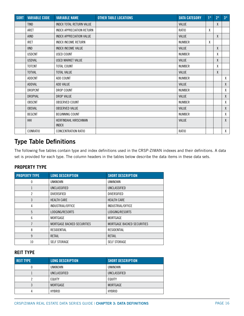<span id="page-15-0"></span>

| <b>SORT</b> | <b>VARIABLE CODE</b> | <b>VARIABLE NAME</b>                 | <b>OTHER TABLE LOCATIONS</b> | <b>DATA CATEGORY</b> | $1*$ | $2^*$ | $3^*$        |
|-------------|----------------------|--------------------------------------|------------------------------|----------------------|------|-------|--------------|
|             | <b>TIND</b>          | INDEX TOTAL RETURN VALUE             |                              | <b>VALUE</b>         |      | X     |              |
|             | ARET                 | INDEX APPRECIATION RETURN            |                              | <b>RATIO</b>         | χ    |       |              |
|             | AIND                 | INDEX APPRECIATION VALUE             |                              | VALUE                |      | X     |              |
|             | <b>IRET</b>          | <b>INDEX INCOME RETURN</b>           |                              | <b>NUMBER</b>        | X    |       |              |
|             | <b>IIND</b>          | <b>INDEX INCOME VALUE</b>            |                              | <b>VALUE</b>         |      | X     |              |
|             | <b>USDCNT</b>        | <b>USED COUNT</b>                    |                              | <b>NUMBER</b>        |      | χ     |              |
|             | <b>USDVAL</b>        | USED MARKET VALUE                    |                              | VALUE                |      | X     |              |
|             | <b>TOTCNT</b>        | TOTAL COUNT                          |                              | <b>NUMBER</b>        |      | χ     |              |
|             | <b>TOTVAL</b>        | <b>TOTAL VALUE</b>                   |                              | <b>VALUE</b>         |      | X     |              |
|             | <b>ADDCNT</b>        | ADD COUNT                            |                              | <b>NUMBER</b>        |      |       | χ            |
|             | <b>ADDVAL</b>        | ADD VALUE                            |                              | <b>VALUE</b>         |      |       | χ            |
|             | DROPCNT              | DROP COUNT                           |                              | <b>NUMBER</b>        |      |       | χ            |
|             | <b>DROPVAL</b>       | DROP VALUE                           |                              | <b>VALUE</b>         |      |       | χ            |
|             | <b>OBSCNT</b>        | OBSERVED COUNT                       |                              | <b>NUMBER</b>        |      |       | χ            |
|             | <b>OBSVAL</b>        | <b>OBSERVED VALUE</b>                |                              | VALUE                |      |       | $\mathsf{X}$ |
|             | <b>BEGCNT</b>        | <b>BEGINNING COUNT</b>               |                              | <b>NUMBER</b>        |      |       | χ            |
|             | HHI                  | HERFINDAHL HIRSCHMAN<br><b>INDEX</b> |                              | VALUE                |      |       | $\mathsf{X}$ |
|             | <b>CONRATIO</b>      | <b>CONCENTRATION RATIO</b>           |                              | RATIO                |      |       | X            |

## **Type Table Definitions**

The following five tables contain type and index definitions used in the CRSP-ZIMAN indexes and their definitions. A data set is provided for each type. The column headers in the tables below describe the data items in these data sets.

#### **PROPERTY TYPE**

| <b>PROPERTY TYPE</b>    | <b>LONG DESCRIPTION</b>    | <b>SHORT DESCRIPTION</b>   |
|-------------------------|----------------------------|----------------------------|
| 0                       | <b>UNKNOWN</b>             | <b>UNKNOWN</b>             |
|                         | UNCLASSIFIED               | UNCLASSIFIED               |
| 2<br><b>DIVERSIFIED</b> |                            | <b>DIVERSIFIED</b>         |
| 3                       | <b>HEALTH CARE</b>         | <b>HEALTH CARE</b>         |
| 4                       | INDUSTRIAL/OFFICE          | INDUSTRIAL/OFFICE          |
| 5                       | LODGING/RESORTS            | LODGING/RESORTS            |
| 6                       | <b>MORTGAGE</b>            | MORTGAGE                   |
| 7                       | MORTGAGE BACKED SECURITIES | MORTGAGE BACKED SECURITIES |
| 8                       | <b>RESIDENTIAL</b>         | RESIDENTIAL                |
| 9                       | <b>RETAIL</b>              | <b>RETAIL</b>              |
| 10                      | <b>SELF STORAGE</b>        | <b>SELF STORAGE</b>        |

#### **REIT TYPE**

| <b>REIT TYPE</b> | <b>LONG DESCRIPTION</b> | <b>SHORT DESCRIPTION</b> |  |  |
|------------------|-------------------------|--------------------------|--|--|
|                  | <b>UNKNOWN</b>          | <b>UNKNOWN</b>           |  |  |
|                  | UNCLASSIFIED            | UNCLASSIFIED             |  |  |
|                  | EQUITY                  | EQUITY                   |  |  |
| 3                | MORTGAGE                | MORTGAGE                 |  |  |
| 4                | <b>HYBRID</b>           | <b>HYBRID</b>            |  |  |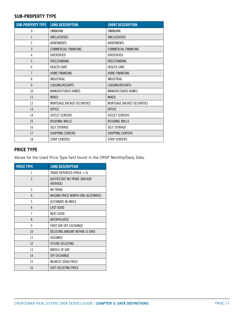#### **SUB-PROPERTY TYPE**

| <b>SUB-PROPERTY TYPE</b> | <b>LONG DESCRIPTION</b>           | <b>SHORT DESCRIPTION</b>    |
|--------------------------|-----------------------------------|-----------------------------|
| 0                        | <b>UNKNOWN</b>                    | <b>UNKNOWN</b>              |
| 1                        | UNCLASSIFIED                      | UNCLASSIFIED                |
| $\overline{2}$           | APARTMENTS                        | <b>APARTMENTS</b>           |
| 3                        | <b>COMMERCIAL FINANCING</b>       | <b>COMMERCIAL FINANCING</b> |
| 4                        | <b>DIVERSIFIED</b>                | <b>DIVERSIFIED</b>          |
| 5                        | <b>FREESTANDING</b>               | <b>FREESTANDING</b>         |
| 6                        | <b>HEALTH CARE</b>                | <b>HEALTH CARE</b>          |
| 7                        | HOME FINANCING                    | HOME FINANCING              |
| 8                        | <b>INDUSTRIAL</b>                 | <b>INDUSTRIAL</b>           |
| 9                        | LODGING/RESORTS                   | LODGING/RESORTS             |
| 10                       | MANUFACTURED HOMES                | <b>MANUFACTURED HOMES</b>   |
| 11                       | <b>MIXFD</b>                      | <b>MIXFD</b>                |
| 12                       | <b>MORTGAGE BACKED SECURITIES</b> | MORTGAGE BACKED SECURITIES  |
| 13                       | <b>OFFICE</b>                     | <b>OFFICE</b>               |
| 14                       | <b>OUTLET CENTERS</b>             | <b>OUTLET CENTERS</b>       |
| 15                       | <b>REGIONAL MALLS</b>             | <b>REGIONAL MALLS</b>       |
| 16                       | <b>SELF STORAGE</b>               | <b>SELF STORAGE</b>         |
| 17                       | SHOPPING CENTERS                  | SHOPPING CENTERS            |
| 18                       | <b>STRIP CENTERS</b>              | <b>STRIP CENTERS</b>        |

#### **PRICE TYPE**

Values for the Used Price Type field found in the CRSP Monthly/Daily Data.

| <b>PRICE TYPE</b> | <b>LONG DESCRIPTION</b>                         |  |  |  |  |  |
|-------------------|-------------------------------------------------|--|--|--|--|--|
| 1                 | TRADE REPORTED (PRICE $>0$ )                    |  |  |  |  |  |
| $\mathfrak{p}$    | <b>QUOTED BUT NO TRADE (BID/ASK</b><br>AVERAGE) |  |  |  |  |  |
| 3                 | NO TRADE                                        |  |  |  |  |  |
| 4                 | MISSING PRICE MONTH END (ALTERNATE)             |  |  |  |  |  |
| 5                 | ALTERNATE IN-INDEX                              |  |  |  |  |  |
| 6                 | LAST GOOD                                       |  |  |  |  |  |
| 7                 | <b>NEXT GOOD</b>                                |  |  |  |  |  |
| 8                 | <b>INTERPOLATED</b>                             |  |  |  |  |  |
| 9                 | FIRST DAY OFF-EXCHANGE                          |  |  |  |  |  |
| 10                | DELISTING AMOUNT WITHIN 10 DAYS                 |  |  |  |  |  |
| 11                | ASSUMED                                         |  |  |  |  |  |
| 12                | <b>FUTURE DELISTING</b>                         |  |  |  |  |  |
| 13                | MIDDLE OF GAP                                   |  |  |  |  |  |
| 14                | <b>OFF EXCHANGE</b>                             |  |  |  |  |  |
| 15                | <b>NEAREST GOOD PRICE</b>                       |  |  |  |  |  |
| 16                | SOFT DELISTING PRICE                            |  |  |  |  |  |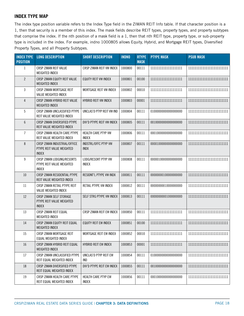#### **INDEX TYPE MAP**

The index type position variable refers to the Index Type field in the ZIMAN REIT Info table. If that character position is a 1, then that security is a member of this index. The mask fields describe REIT types, property types, and property subtypes that comprise the index. If the nth position of a mask field is a 1, then that nth REIT type, property type, or sub-property type is included in the index. For example, indno 1000805 allows Equity, Hybrid, and Mortgage REIT types, Diversified Property Types, and all Property Subtypes.

| <b>INDEX TYPE</b><br><b>POSITION</b> | <b>LONG DESCRIPTION</b>                                                   | <b>SHORT DESCRIPTION</b>            | <b>INDNO</b> | <b>RTYPE</b><br><b>MASK</b> | <b>PTYPE MASK</b>        | <b>PSUB MASK</b> |
|--------------------------------------|---------------------------------------------------------------------------|-------------------------------------|--------------|-----------------------------|--------------------------|------------------|
| $\mathbf{1}$                         | CRSP ZIMAN REIT VALUE<br>WEIGHTED INDEX                                   | CRSP ZIMAN REIT VW INDEX            | 1000800      | 00111                       | 11111111111111111111     |                  |
| $\overline{2}$                       | CRSP ZIMAN EQUITY REIT VALUE<br><b>WEIGHTED INDEX</b>                     | EQUITY REIT VW INDEX                | 1000801      | 00100                       | 11111111111111111111     |                  |
| 3                                    | CRSP ZIMAN MORTGAGE REIT<br>VALUE WEIGHTED INDEX                          | MORTGAGE REIT VW INDEX              | 1000802      | 00010                       | 11111111111111111111     |                  |
| 4                                    | CRSP ZIMAN HYBRID REIT VALUE<br>WEIGHTED INDEX                            | <b>HYBRID REIT VW INDEX</b>         | 1000803      | 00001                       | 11111111111111111111     |                  |
| 5                                    | CRSP ZIMAN UNCLASSIFIED PTYPE<br>REIT VALUE WEIGHTED INDEX                | UNCLAS'D PTYP REIT VW IND           | 1000804      | 00111                       | 01000000000000000000     |                  |
| 6                                    | CRSP ZIMAN DIVERSIFIED PTYPE<br>REIT VALUE WEIGHTED INDEX                 | DIV'D PTYPE REIT VW INDEX           | 1000805      | 00111                       | 00100000000000000000     |                  |
| $\overline{7}$                       | CRSP ZIMAN HEALTH CARE PTYPE<br>REIT VALUE WEIGHTED INDEX                 | HEALTH CARE PTYP VW<br><b>INDEX</b> | 1000806      | 00111                       | 00010000000000000000     |                  |
| 8                                    | CRSP ZIMAN INDUSTRIAL/OFFICE<br>PTYPE REIT VALUE WEIGHTED<br><b>INDEX</b> | INDSTRL/OFFC PTYP VW<br><b>INDX</b> | 1000807      | 00111                       | 00001000000000000000     |                  |
| 9                                    | CRSP ZIMAN LODGING/RESORTS<br>PTYPE REIT VALUE WEIGHTED<br><b>INDEX</b>   | LODG/RESORT PTYP VW<br><b>INDEX</b> | 1000808      | 00111                       | 00000100000000000000     |                  |
| 10                                   | CRSP ZIMAN RESIDENTIAL PTYPE<br>REIT VALUE WEIGHTED INDEX                 | RESIDNT'L PTYPE VW INDX             | 1000811      | 00111                       | 00000000100000000000     |                  |
| 11                                   | CRSP ZIMAN RETAIL PTYPE REIT<br>VALUE WEIGHTED INDEX                      | RETAIL PTYPE VW INDEX               | 1000812      | 00111                       | 00000000010000000000     |                  |
| 12                                   | CRSP ZIMAN SELF STORAGE<br>PTYPE REIT VALUE WEIGHTED<br><b>INDEX</b>      | SELF STRG PTYPE VW INDEX            | 1000813      | 00111                       | 00000000001000000000     |                  |
| 13                                   | CRSP ZIMAN REIT EQUAL<br>WEIGHTED INDEX                                   | CRSP ZIMAN REIT EW INDEX            | 1000850      | 00111                       | 11111111111111111111     |                  |
| 14                                   | CRSP ZIMAN EQUITY REIT EQUAL<br>WEIGHTED INDEX                            | EQUITY REIT EW INDEX                | 1000851      | 00100                       | 11111111111111111111     |                  |
| 15                                   | CRSP ZIMAN MORTGAGE REIT<br>EQUAL WEIGHTED INDEX                          | MORTGAGE REIT EW INDEX              | 1000852      | 00010                       | $1111111111111111111111$ |                  |
| 16                                   | CRSP ZIMAN HYBRID REIT EQUAL<br>WEIGHTED INDEX                            | <b>HYBRID REIT EW INDEX</b>         | 1000853      | 00001                       | 11111111111111111111     |                  |
| 17                                   | CRSP ZIMAN UNCLASSIFIED PTYPE<br>REIT EQUAL WEIGHTED INDEX                | UNCLAS'D PTYP REIT EW<br>IND        | 1000854      | 00111                       | 01000000000000000000     |                  |
| 18                                   | CRSP ZIMAN DIVERSIFIED PTYPE<br>REIT EQUAL WEIGHTED INDEX                 | DIV'D PTYPE REIT EW INDEX           | 1000855      | 00111                       | 00100000000000000000     |                  |
| 19                                   | CRSP ZIMAN HEALTH CARE PTYPE<br>REIT EQUAL WEIGHTED INDEX                 | HEALTH CARE PTYP EW<br>INDEX        | 1000856      | 00111                       | 00010000000000000000     |                  |